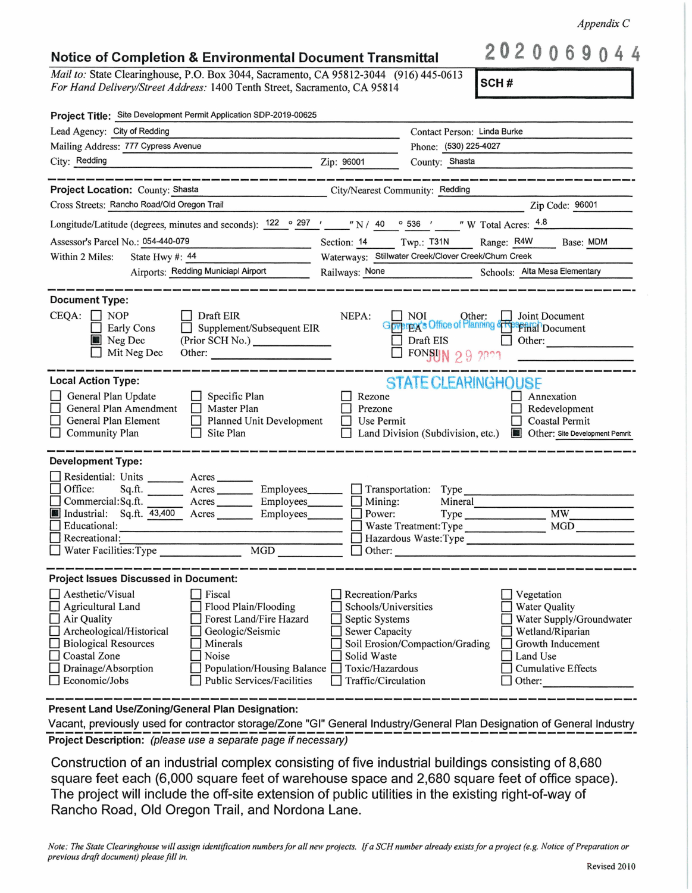*Appendix C* 

## **Notice of Completion** & **Environmental Document Transmittal**

*Mail to:* State Clearinghouse, P.O. Box 3044, Sacramento, CA 95812-3044 (916) 445-0613 *For Hand Delivery/Street Address:* 1400 Tenth Street, Sacramento, CA 95814

**2020069044** 

| <b>ISCH#</b> |
|--------------|
|--------------|

| Project Title: Site Development Permit Application SDP-2019-00625                                                                                                                                                                                                                                                                                              |                                                                                                                                                                                                                                                                                                                                        |
|----------------------------------------------------------------------------------------------------------------------------------------------------------------------------------------------------------------------------------------------------------------------------------------------------------------------------------------------------------------|----------------------------------------------------------------------------------------------------------------------------------------------------------------------------------------------------------------------------------------------------------------------------------------------------------------------------------------|
| Lead Agency: City of Redding                                                                                                                                                                                                                                                                                                                                   | Contact Person: Linda Burke                                                                                                                                                                                                                                                                                                            |
| Mailing Address: 777 Cypress Avenue                                                                                                                                                                                                                                                                                                                            | Phone: (530) 225-4027                                                                                                                                                                                                                                                                                                                  |
| City: Redding                                                                                                                                                                                                                                                                                                                                                  | County: Shasta<br>Zip: 96001                                                                                                                                                                                                                                                                                                           |
|                                                                                                                                                                                                                                                                                                                                                                |                                                                                                                                                                                                                                                                                                                                        |
| Project Location: County: Shasta<br>the contract of the contract of the contract of the contract of the contract of the contract of                                                                                                                                                                                                                            | City/Nearest Community: Redding                                                                                                                                                                                                                                                                                                        |
| Cross Streets: Rancho Road/Old Oregon Trail                                                                                                                                                                                                                                                                                                                    | Zip Code: 96001                                                                                                                                                                                                                                                                                                                        |
|                                                                                                                                                                                                                                                                                                                                                                | Longitude/Latitude (degrees, minutes and seconds): $\frac{122}{ }$ $\circ$ $\frac{297}{ }$ $\cdot$ $\cdot$ $\cdot$ N / 40 $\circ$ 536 $\cdot$ $\cdot$ $\cdot$ W Total Acres: $\frac{4.8}{ }$                                                                                                                                           |
| Assessor's Parcel No.: 054-440-079                                                                                                                                                                                                                                                                                                                             | Section: 14 Twp.: T31N<br>Range: R4W<br>Base: MDM                                                                                                                                                                                                                                                                                      |
| Within 2 Miles:<br>State Hwy #: 44                                                                                                                                                                                                                                                                                                                             | Waterways: Stillwater Creek/Clover Creek/Churn Creek                                                                                                                                                                                                                                                                                   |
| Airports: Redding Municiapl Airport                                                                                                                                                                                                                                                                                                                            | Railways: None Schools: Alta Mesa Elementary                                                                                                                                                                                                                                                                                           |
| <b>Document Type:</b><br>$CEQA: \Box NOP$<br>$\Box$ Draft EIR<br>$\Box$ Supplement/Subsequent EIR<br>Early Cons<br>Neg Dec<br>(Prior SCH No.)<br>Mit Neg Dec<br>Other:                                                                                                                                                                                         | NEPA:<br>NOI Other: Joint Document<br>Draft EIS<br>Other:<br>FONSUN 29 2021                                                                                                                                                                                                                                                            |
| <b>Local Action Type:</b><br>General Plan Update<br>$\Box$ Specific Plan<br>General Plan Amendment<br>$\Box$ Master Plan<br>General Plan Element<br>Planned Unit Development<br>Community Plan<br>Site Plan<br>П                                                                                                                                               | <b>STATE CLEARINGHOUSE</b><br>Rezone<br>Annexation<br>Prezone<br>Redevelopment<br>Use Permit<br><b>Coastal Permit</b><br>Land Division (Subdivision, etc.)<br><b>Cther:</b> Site Development Pemrit                                                                                                                                    |
| <b>Development Type:</b><br>Residential: Units ________ Acres _______<br>$\Box$ Office:<br>Commercial:Sq.ft. ________ Acres _________ Employees________<br>Industrial: Sq.ft. 43,400 Acres Employees<br>Educational:<br>Recreational:<br>$\Box$ Water Facilities: Type                                                                                         | Sq.ft. ________ Acres __________ Employees________ __ Transportation: Type ___________<br>$\Box$ Mining:<br>Mineral<br><b>MW</b><br>Power:<br>Type<br><b>MGD</b><br>Waste Treatment: Type<br>Hazardous Waste:Type<br>$\Box$ Other:                                                                                                     |
| <b>Project Issues Discussed in Document:</b>                                                                                                                                                                                                                                                                                                                   |                                                                                                                                                                                                                                                                                                                                        |
| Aesthetic/Visual<br>Fiscal<br>$\Box$ Agricultural Land<br>Flood Plain/Flooding<br>$\Box$ Air Quality<br>Forest Land/Fire Hazard<br>Archeological/Historical<br>Geologic/Seismic<br><b>Biological Resources</b><br>Minerals<br>Coastal Zone<br>Noise<br>Drainage/Absorption<br>Population/Housing Balance<br>Economic/Jobs<br><b>Public Services/Facilities</b> | Recreation/Parks<br>Vegetation<br>Schools/Universities<br><b>Water Quality</b><br>Septic Systems<br>Water Supply/Groundwater<br>Sewer Capacity<br>Wetland/Riparian<br>Soil Erosion/Compaction/Grading<br>Growth Inducement<br>Solid Waste<br>Land Use<br>Toxic/Hazardous<br><b>Cumulative Effects</b><br>Traffic/Circulation<br>Other: |

**Present Land Use/Zoning/General Plan Designation:** 

Vacant, previously used for contractor storage/Zone "GI" General Industry/General Plan Designation of General Industry **Project Description:** (please use a separate page if necessary)

Construction of an industrial complex consisting of five industrial buildings consisting of 8,680 square feet each (6,000 square feet of warehouse space and 2,680 square feet of office space). The project will include the off-site extension of public utilities in the existing right-of-way of Rancho Road, Old Oregon Trail, and Nordona Lane.

*Note: The State Clearinghouse will assign identification numbers for all new projects.* If *a SCH number already exists for a project (e.g. Notice of Preparation or previous draft document) please fill in.*